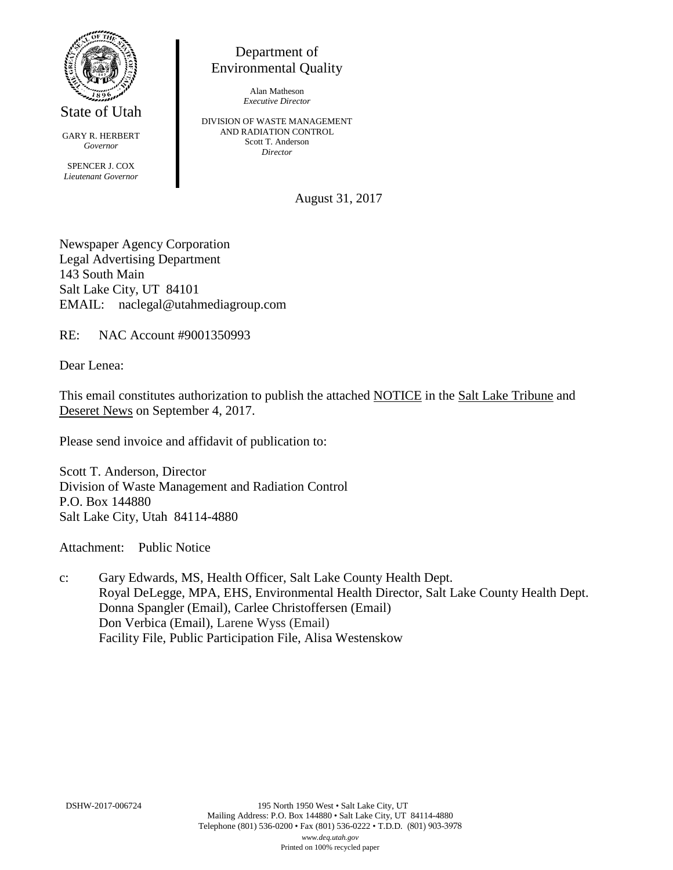

State of Utah

GARY R. HERBERT *Governor* SPENCER J. COX *Lieutenant Governor*

Department of Environmental Quality

> Alan Matheson *Executive Director*

DIVISION OF WASTE MANAGEMENT AND RADIATION CONTROL Scott T. Anderson *Director*

August 31, 2017

Newspaper Agency Corporation Legal Advertising Department 143 South Main Salt Lake City, UT 84101 EMAIL: naclegal@utahmediagroup.com

RE: NAC Account #9001350993

Dear Lenea:

This email constitutes authorization to publish the attached NOTICE in the Salt Lake Tribune and Deseret News on September 4, 2017.

Please send invoice and affidavit of publication to:

Scott T. Anderson, Director Division of Waste Management and Radiation Control P.O. Box 144880 Salt Lake City, Utah 84114-4880

Attachment: Public Notice

c: Gary Edwards, MS, Health Officer, Salt Lake County Health Dept. Royal DeLegge, MPA, EHS, Environmental Health Director, Salt Lake County Health Dept. Donna Spangler (Email), Carlee Christoffersen (Email) Don Verbica (Email), Larene Wyss (Email) Facility File, Public Participation File, Alisa Westenskow